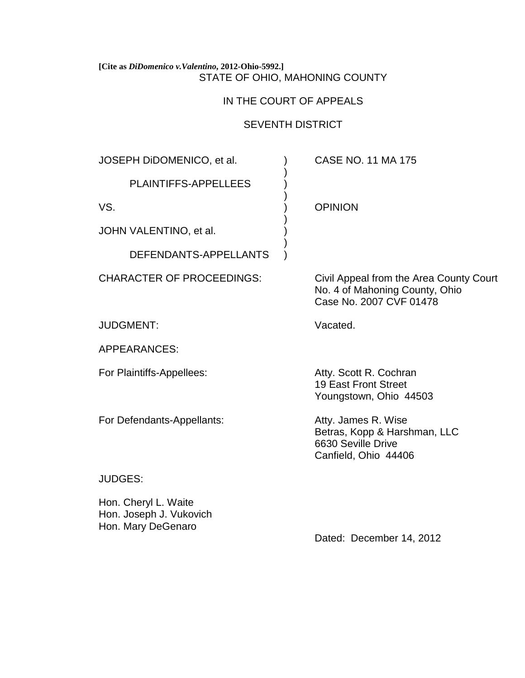## **[Cite as** *DiDomenico v.Valentino***, 2012-Ohio-5992.]** STATE OF OHIO, MAHONING COUNTY

# IN THE COURT OF APPEALS

# SEVENTH DISTRICT

)

)

)

)

JOSEPH DiDOMENICO, et al. ) CASE NO. 11 MA 175

PLAINTIFFS-APPELLEES )

JOHN VALENTINO, et al.

DEFENDANTS-APPELLANTS )

JUDGMENT: Vacated.

APPEARANCES:

For Plaintiffs-Appellees: Atty. Scott R. Cochran

For Defendants-Appellants: Atty. James R. Wise

VS. ) OPINION

CHARACTER OF PROCEEDINGS: Civil Appeal from the Area County Court No. 4 of Mahoning County, Ohio Case No. 2007 CVF 01478

19 East Front Street Youngstown, Ohio 44503

Betras, Kopp & Harshman, LLC 6630 Seville Drive Canfield, Ohio 44406

JUDGES:

Hon. Cheryl L. Waite Hon. Joseph J. Vukovich Hon. Mary DeGenaro

Dated: December 14, 2012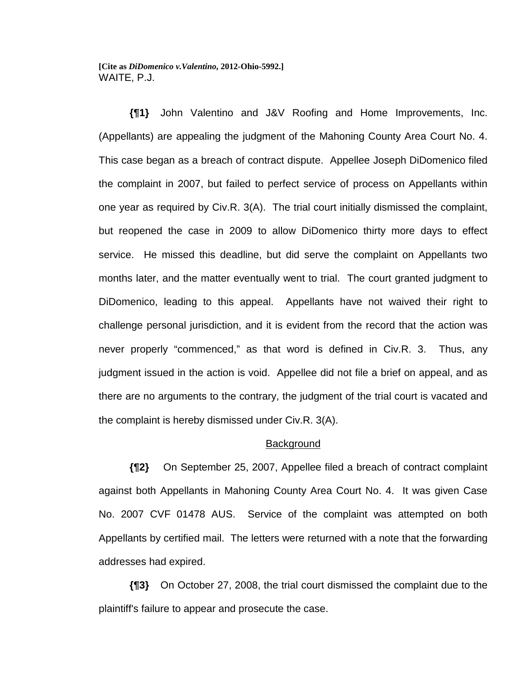**[Cite as** *DiDomenico v.Valentino***, 2012-Ohio-5992.]** WAITE, P.J.

**{¶1}** John Valentino and J&V Roofing and Home Improvements, Inc. (Appellants) are appealing the judgment of the Mahoning County Area Court No. 4. This case began as a breach of contract dispute. Appellee Joseph DiDomenico filed the complaint in 2007, but failed to perfect service of process on Appellants within one year as required by Civ.R. 3(A). The trial court initially dismissed the complaint, but reopened the case in 2009 to allow DiDomenico thirty more days to effect service. He missed this deadline, but did serve the complaint on Appellants two months later, and the matter eventually went to trial. The court granted judgment to DiDomenico, leading to this appeal. Appellants have not waived their right to challenge personal jurisdiction, and it is evident from the record that the action was never properly "commenced," as that word is defined in Civ.R. 3. Thus, any judgment issued in the action is void. Appellee did not file a brief on appeal, and as there are no arguments to the contrary, the judgment of the trial court is vacated and the complaint is hereby dismissed under Civ.R. 3(A).

## **Background**

**{¶2}** On September 25, 2007, Appellee filed a breach of contract complaint against both Appellants in Mahoning County Area Court No. 4. It was given Case No. 2007 CVF 01478 AUS. Service of the complaint was attempted on both Appellants by certified mail. The letters were returned with a note that the forwarding addresses had expired.

**{¶3}** On October 27, 2008, the trial court dismissed the complaint due to the plaintiff's failure to appear and prosecute the case.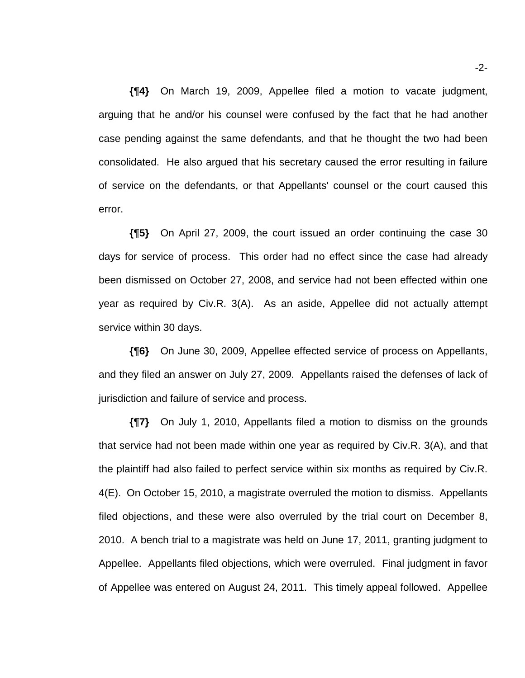**{¶4}** On March 19, 2009, Appellee filed a motion to vacate judgment, arguing that he and/or his counsel were confused by the fact that he had another case pending against the same defendants, and that he thought the two had been consolidated. He also argued that his secretary caused the error resulting in failure of service on the defendants, or that Appellants' counsel or the court caused this error.

**{¶5}** On April 27, 2009, the court issued an order continuing the case 30 days for service of process. This order had no effect since the case had already been dismissed on October 27, 2008, and service had not been effected within one year as required by Civ.R. 3(A). As an aside, Appellee did not actually attempt service within 30 days.

**{¶6}** On June 30, 2009, Appellee effected service of process on Appellants, and they filed an answer on July 27, 2009. Appellants raised the defenses of lack of jurisdiction and failure of service and process.

**{¶7}** On July 1, 2010, Appellants filed a motion to dismiss on the grounds that service had not been made within one year as required by Civ.R. 3(A), and that the plaintiff had also failed to perfect service within six months as required by Civ.R. 4(E). On October 15, 2010, a magistrate overruled the motion to dismiss. Appellants filed objections, and these were also overruled by the trial court on December 8, 2010. A bench trial to a magistrate was held on June 17, 2011, granting judgment to Appellee. Appellants filed objections, which were overruled. Final judgment in favor of Appellee was entered on August 24, 2011. This timely appeal followed. Appellee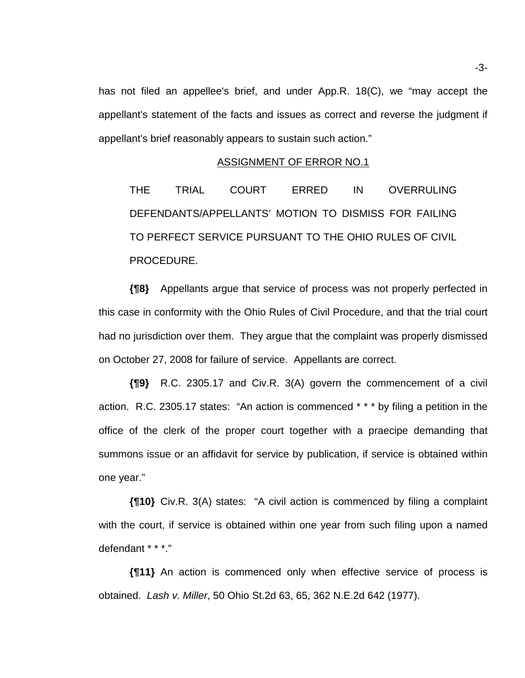has not filed an appellee's brief, and under App.R. 18(C), we "may accept the appellant's statement of the facts and issues as correct and reverse the judgment if appellant's brief reasonably appears to sustain such action."

#### ASSIGNMENT OF ERROR NO.1

THE TRIAL COURT ERRED IN OVERRULING DEFENDANTS/APPELLANTS' MOTION TO DISMISS FOR FAILING TO PERFECT SERVICE PURSUANT TO THE OHIO RULES OF CIVIL PROCEDURE.

**{¶8}** Appellants argue that service of process was not properly perfected in this case in conformity with the Ohio Rules of Civil Procedure, and that the trial court had no jurisdiction over them. They argue that the complaint was properly dismissed on October 27, 2008 for failure of service. Appellants are correct.

**{¶9}** R.C. 2305.17 and Civ.R. 3(A) govern the commencement of a civil action. R.C. 2305.17 states: "An action is commenced \* \* \* by filing a petition in the office of the clerk of the proper court together with a praecipe demanding that summons issue or an affidavit for service by publication, if service is obtained within one year."

**{¶10}** Civ.R. 3(A) states: "A civil action is commenced by filing a complaint with the court, if service is obtained within one year from such filing upon a named defendant \* \* \*."

**{¶11}** An action is commenced only when effective service of process is obtained. *Lash v. Miller*, 50 Ohio St.2d 63, 65, 362 N.E.2d 642 (1977).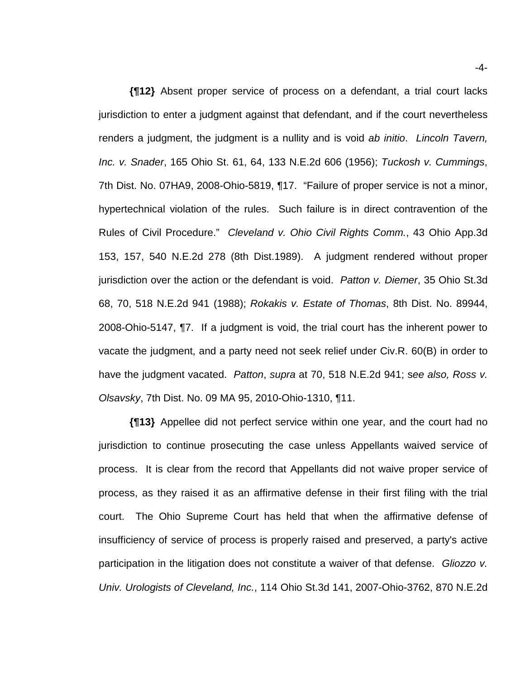**{¶12}** Absent proper service of process on a defendant, a trial court lacks jurisdiction to enter a judgment against that defendant, and if the court nevertheless renders a judgment, the judgment is a nullity and is void *ab initio*. *Lincoln Tavern, Inc. v. Snader*, 165 Ohio St. 61, 64, 133 N.E.2d 606 (1956); *Tuckosh v. Cummings*, 7th Dist. No. 07HA9, 2008-Ohio-5819, ¶17. "Failure of proper service is not a minor, hypertechnical violation of the rules. Such failure is in direct contravention of the Rules of Civil Procedure." *Cleveland v. Ohio Civil Rights Comm.*, 43 Ohio App.3d 153, 157, 540 N.E.2d 278 (8th Dist.1989). A judgment rendered without proper jurisdiction over the action or the defendant is void. *Patton v. Diemer*, 35 Ohio St.3d 68, 70, 518 N.E.2d 941 (1988); *Rokakis v. Estate of Thomas*, 8th Dist. No. 89944, 2008-Ohio-5147, ¶7. If a judgment is void, the trial court has the inherent power to vacate the judgment, and a party need not seek relief under Civ.R. 60(B) in order to have the judgment vacated. *Patton*, *supra* at 70, 518 N.E.2d 941; s*ee also, Ross v. Olsavsky*, 7th Dist. No. 09 MA 95, 2010-Ohio-1310, ¶11.

**{¶13}** Appellee did not perfect service within one year, and the court had no jurisdiction to continue prosecuting the case unless Appellants waived service of process. It is clear from the record that Appellants did not waive proper service of process, as they raised it as an affirmative defense in their first filing with the trial court. The Ohio Supreme Court has held that when the affirmative defense of insufficiency of service of process is properly raised and preserved, a party's active participation in the litigation does not constitute a waiver of that defense. *Gliozzo v. Univ. Urologists of Cleveland, Inc.*, 114 Ohio St.3d 141, 2007-Ohio-3762, 870 N.E.2d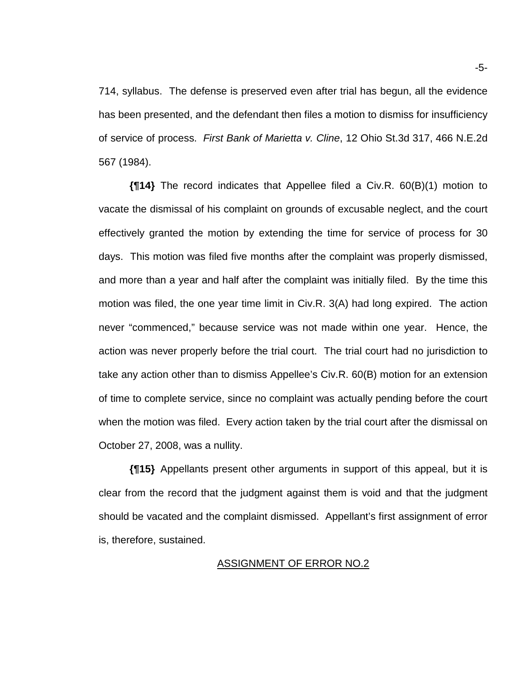714, syllabus. The defense is preserved even after trial has begun, all the evidence has been presented, and the defendant then files a motion to dismiss for insufficiency of service of process. *First Bank of Marietta v. Cline*, 12 Ohio St.3d 317, 466 N.E.2d 567 (1984).

**{¶14}** The record indicates that Appellee filed a Civ.R. 60(B)(1) motion to vacate the dismissal of his complaint on grounds of excusable neglect, and the court effectively granted the motion by extending the time for service of process for 30 days. This motion was filed five months after the complaint was properly dismissed, and more than a year and half after the complaint was initially filed. By the time this motion was filed, the one year time limit in Civ.R. 3(A) had long expired. The action never "commenced," because service was not made within one year. Hence, the action was never properly before the trial court. The trial court had no jurisdiction to take any action other than to dismiss Appellee's Civ.R. 60(B) motion for an extension of time to complete service, since no complaint was actually pending before the court when the motion was filed. Every action taken by the trial court after the dismissal on October 27, 2008, was a nullity.

**{¶15}** Appellants present other arguments in support of this appeal, but it is clear from the record that the judgment against them is void and that the judgment should be vacated and the complaint dismissed. Appellant's first assignment of error is, therefore, sustained.

### ASSIGNMENT OF ERROR NO.2